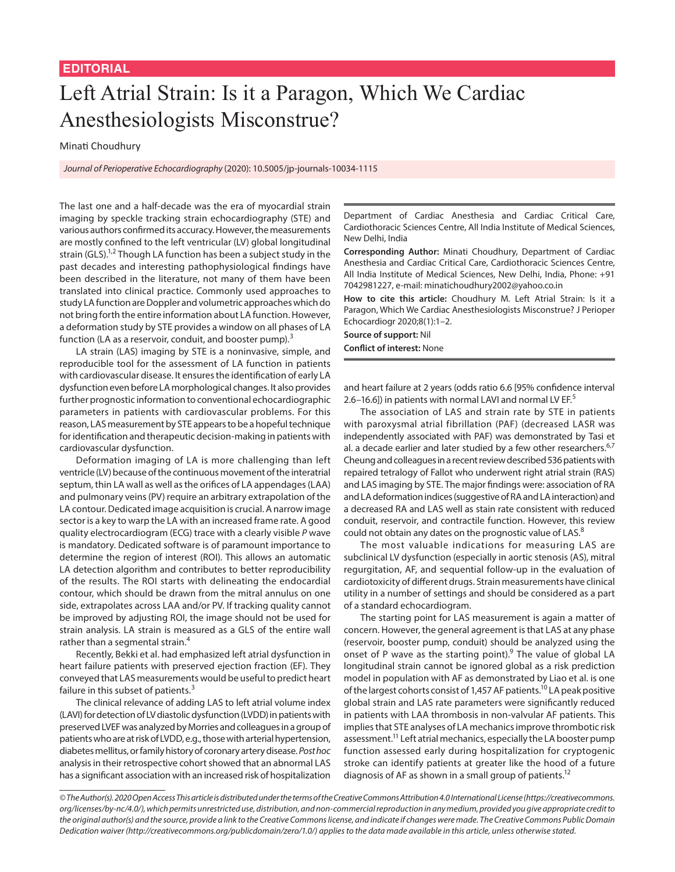## Left Atrial Strain: Is it a Paragon, Which We Cardiac Anesthesiologists Misconstrue?

Minati Choudhury

*Journal of Perioperative Echocardiography* (2020): 10.5005/jp-journals-10034-1115

The last one and a half-decade was the era of myocardial strain imaging by speckle tracking strain echocardiography (STE) and various authors confirmed its accuracy. However, the measurements are mostly confined to the left ventricular (LV) global longitudinal strain (GLS).<sup>1,2</sup> Though LA function has been a subject study in the past decades and interesting pathophysiological findings have been described in the literature, not many of them have been translated into clinical practice. Commonly used approaches to study LA function are Doppler and volumetric approaches which do not bring forth the entire information about LA function. However, a deformation study by STE provides a window on all phases of LA function (LA as a reservoir, conduit, and booster pump). $3$ 

LA strain (LAS) imaging by STE is a noninvasive, simple, and reproducible tool for the assessment of LA function in patients with cardiovascular disease. It ensures the identification of early LA dysfunction even before LA morphological changes. It also provides further prognostic information to conventional echocardiographic parameters in patients with cardiovascular problems. For this reason, LAS measurement by STE appears to be a hopeful technique for identification and therapeutic decision-making in patients with cardiovascular dysfunction.

Deformation imaging of LA is more challenging than left ventricle (LV) because of the continuous movement of the interatrial septum, thin LA wall as well as the orifices of LA appendages (LAA) and pulmonary veins (PV) require an arbitrary extrapolation of the LA contour. Dedicated image acquisition is crucial. A narrow image sector is a key to warp the LA with an increased frame rate. A good quality electrocardiogram (ECG) trace with a clearly visible *P* wave is mandatory. Dedicated software is of paramount importance to determine the region of interest (ROI). This allows an automatic LA detection algorithm and contributes to better reproducibility of the results. The ROI starts with delineating the endocardial contour, which should be drawn from the mitral annulus on one side, extrapolates across LAA and/or PV. If tracking quality cannot be improved by adjusting ROI, the image should not be used for strain analysis. LA strain is measured as a GLS of the entire wall rather than a segmental strain.<sup>4</sup>

Recently, Bekki et al. had emphasized left atrial dysfunction in heart failure patients with preserved ejection fraction (EF). They conveyed that LAS measurements would be useful to predict heart failure in this subset of patients.<sup>3</sup>

The clinical relevance of adding LAS to left atrial volume index (LAVI) for detection of LV diastolic dysfunction (LVDD) in patients with preserved LVEF was analyzed by Morries and colleagues in a group of patients who are at risk of LVDD, e.g., those with arterial hypertension, diabetes mellitus, or family history of coronary artery disease. *Post hoc* analysis in their retrospective cohort showed that an abnormal LAS has a significant association with an increased risk of hospitalization Department of Cardiac Anesthesia and Cardiac Critical Care, Cardiothoracic Sciences Centre, All India Institute of Medical Sciences, New Delhi, India

**Corresponding Author:** Minati Choudhury, Department of Cardiac Anesthesia and Cardiac Critical Care, Cardiothoracic Sciences Centre, All India Institute of Medical Sciences, New Delhi, India, Phone: +91 7042981227, e-mail: minatichoudhury2002@yahoo.co.in

**How to cite this article:** Choudhury M. Left Atrial Strain: Is it a Paragon, Which We Cardiac Anesthesiologists Misconstrue? J Perioper Echocardiogr 2020;8(1):1–2.

**Source of support:** Nil **Conflict of interest:** None

and heart failure at 2 years (odds ratio 6.6 [95% confidence interval 2.6–16.6]) in patients with normal LAVI and normal LV EF.<sup>5</sup>

The association of LAS and strain rate by STE in patients with paroxysmal atrial fibrillation (PAF) (decreased LASR was independently associated with PAF) was demonstrated by Tasi et al. a decade earlier and later studied by a few other researchers. $6,7$ Cheung and colleagues in a recent review described 536 patients with repaired tetralogy of Fallot who underwent right atrial strain (RAS) and LAS imaging by STE. The major findings were: association of RA and LA deformation indices (suggestive of RA and LA interaction) and a decreased RA and LAS well as stain rate consistent with reduced conduit, reservoir, and contractile function. However, this review could not obtain any dates on the prognostic value of LAS.<sup>8</sup>

The most valuable indications for measuring LAS are subclinical LV dysfunction (especially in aortic stenosis (AS), mitral regurgitation, AF, and sequential follow-up in the evaluation of cardiotoxicity of different drugs. Strain measurements have clinical utility in a number of settings and should be considered as a part of a standard echocardiogram.

The starting point for LAS measurement is again a matter of concern. However, the general agreement is that LAS at any phase (reservoir, booster pump, conduit) should be analyzed using the onset of P wave as the starting point).<sup>9</sup> The value of global LA longitudinal strain cannot be ignored global as a risk prediction model in population with AF as demonstrated by Liao et al. is one of the largest cohorts consist of 1,457 AF patients.<sup>10</sup> LA peak positive global strain and LAS rate parameters were significantly reduced in patients with LAA thrombosis in non-valvular AF patients. This implies that STE analyses of LA mechanics improve thrombotic risk assessment.<sup>11</sup> Left atrial mechanics, especially the LA booster pump function assessed early during hospitalization for cryptogenic stroke can identify patients at greater like the hood of a future diagnosis of AF as shown in a small group of patients.<sup>12</sup>

*<sup>©</sup> The Author(s). 2020 Open Access This article is distributed under the terms of the Creative Commons Attribution 4.0 International License (https://creativecommons. org/licenses/by-nc/4.0/), which permits unrestricted use, distribution, and non-commercial reproduction in any medium, provided you give appropriate credit to the original author(s) and the source, provide a link to the Creative Commons license, and indicate if changes were made. The Creative Commons Public Domain Dedication waiver (http://creativecommons.org/publicdomain/zero/1.0/) applies to the data made available in this article, unless otherwise stated.*